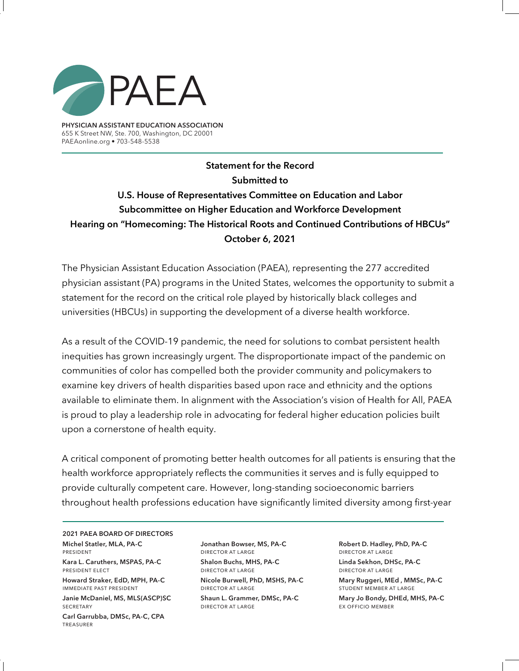

**PHYSICIAN ASSISTANT EDUCATION ASSOCIATION** 655 K Street NW, Ste. 700, Washington, DC 20001 PAEAonline.org • 703-548-5538

**Statement for the Record Submitted to U.S. House of Representatives Committee on Education and Labor Subcommittee on Higher Education and Workforce Development Hearing on "Homecoming: The Historical Roots and Continued Contributions of HBCUs" October 6, 2021**

The Physician Assistant Education Association (PAEA), representing the 277 accredited physician assistant (PA) programs in the United States, welcomes the opportunity to submit a statement for the record on the critical role played by historically black colleges and universities (HBCUs) in supporting the development of a diverse health workforce.

As a result of the COVID-19 pandemic, the need for solutions to combat persistent health inequities has grown increasingly urgent. The disproportionate impact of the pandemic on communities of color has compelled both the provider community and policymakers to examine key drivers of health disparities based upon race and ethnicity and the options available to eliminate them. In alignment with the Association's vision of Health for All, PAEA is proud to play a leadership role in advocating for federal higher education policies built upon a cornerstone of health equity.

A critical component of promoting better health outcomes for all patients is ensuring that the health workforce appropriately reflects the communities it serves and is fully equipped to provide culturally competent care. However, long-standing socioeconomic barriers throughout health professions education have significantly limited diversity among first-year

**2021 PAEA BOARD OF DIRECTORS Michel Statler, MLA, PA-C**  president

**Kara L. Caruthers, MSPAS, PA-C** president elect

**Howard Straker, EdD, MPH, PA-C** immediate past president

**Janie McDaniel, MS, MLS(ASCP)SC SECRETARY** 

**Carl Garrubba, DMSc, PA-C, CPA**  treasurer

**Jonathan Bowser, MS, PA-C** director at large **Shalon Buchs, MHS, PA-C**

director at large **Nicole Burwell, PhD, MSHS, PA-C** director at large

**Shaun L. Grammer, DMSc, PA-C** director at large

**Robert D. Hadley, PhD, PA-C** director at large **Linda Sekhon, DHSc, PA-C**  director at large

**Mary Ruggeri, MEd , MMSc, PA-C**  student member at large

**Mary Jo Bondy, DHEd, MHS, PA-C** ex officio member